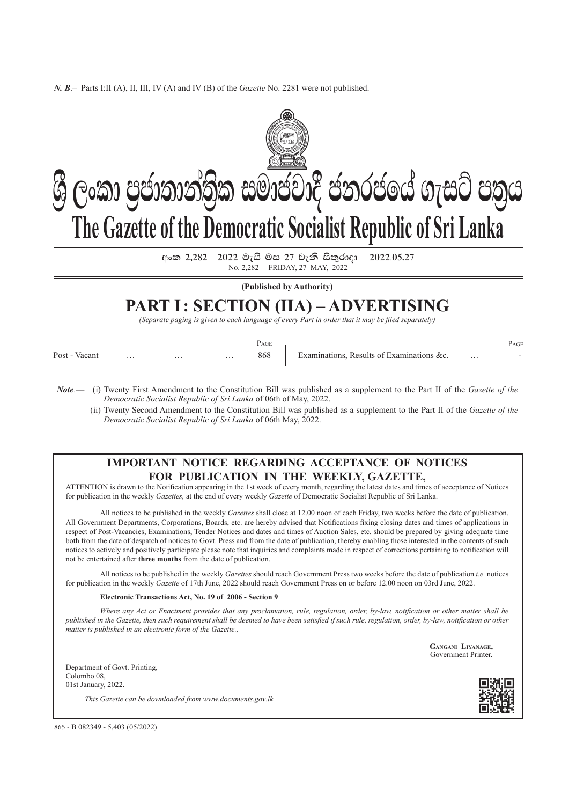*N. B*.– Parts I:II (A), II, III, IV (A) and IV (B) of the *Gazette* No. 2281 were not published.



 $ev$ ංක 2,282 - 2022 මැයි මස 27 වැනි සිකුරාදා - 2022.05.27 No. 2,282 – friday, 27 may, 2022

**(Published by Authority)**

# **PART I: SECTION (IIA) – Advertising**

*(Separate paging is given to each language of every Part in order that it may be filed separately)*

|               |          |          |          | PAGE |                                           |          | PAGE |
|---------------|----------|----------|----------|------|-------------------------------------------|----------|------|
| Post - Vacant | $\cdots$ | $\cdots$ | $\cdots$ | 868  | Examinations, Results of Examinations &c. | $\cdots$ |      |

*Note*.— (i) Twenty First Amendment to the Constitution Bill was published as a supplement to the Part II of the *Gazette of the Democratic Socialist Republic of Sri Lanka* of 06th of May, 2022.

(ii) Twenty Second Amendment to the Constitution Bill was published as a supplement to the Part II of the *Gazette of the Democratic Socialist Republic of Sri Lanka* of 06th May, 2022.

## **Important Notice Regarding Acceptance of Notices For Publication in the Weekly, Gazette,**

ATTENTION is drawn to the Notification appearing in the 1st week of every month, regarding the latest dates and times of acceptance of Notices for publication in the weekly *Gazettes,* at the end of every weekly *Gazette* of Democratic Socialist Republic of Sri Lanka.

All notices to be published in the weekly *Gazettes* shall close at 12.00 noon of each Friday, two weeks before the date of publication. All Government Departments, corporations, Boards, etc. are hereby advised that Notifications fixing closing dates and times of applications in respect of Post-Vacancies, Examinations, Tender Notices and dates and times of Auction Sales, etc. should be prepared by giving adequate time both from the date of despatch of notices to Govt. Press and from the date of publication, thereby enabling those interested in the contents of such notices to actively and positively participate please note that inquiries and complaints made in respect of corrections pertaining to notification will not be entertained after **three months** from the date of publication.

All notices to be published in the weekly *Gazettes* should reach Government Press two weeks before the date of publication *i.e.* notices for publication in the weekly *Gazette* of 17th June, 2022 should reach Government Press on or before 12.00 noon on 03rd June, 2022.

#### **Electronic Transactions Act, No. 19 of 2006 - Section 9**

*Where any Act or enactment provides that any proclamation, rule, regulation, order, by-law, notification or other matter shall be published in the Gazette, then such requirement shall be deemed to have been satisfied if such rule, regulation, order, by-law, notification or other matter is published in an electronic form of the Gazette.,*

> **Gangani Liyanage,** Government Printer.

Department of Govt. Printing, Colombo 08, 01st January, 2022.

*This Gazette can be downloaded from www.documents.gov.lk*



865 - B 082349 - 5,403 (05/2022)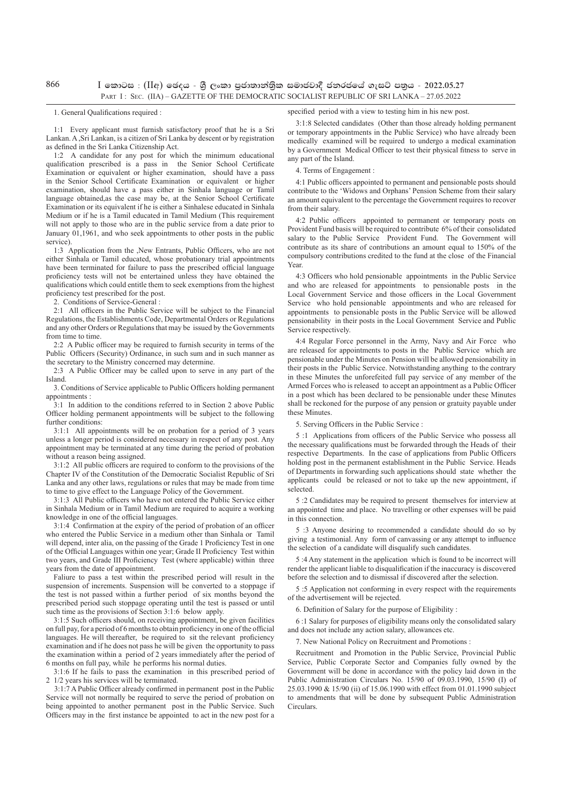866

#### I **fldgi** : (II**w**) **fPoh ‑ YS% ,xld m%cd;dka;s%l iudcjd§ ckrcfha .eiÜ m;%h ‑ 2022'05'27** PART I: SEC. (IIA) – GAZETTE OF THE DEMOCRATIC SOCIALIST REPUBLIC OF SRI LANKA – 27.05.2022

#### 1. General Qualifications required :

1:1 Every applicant must furnish satisfactory proof that he is a Sri Lankan. A ,Sri Lankan, is a citizen of Sri Lanka by descent or by registration as defined in the Sri Lanka Citizenship Act.

1:2 A candidate for any post for which the minimum educational qualification prescribed is a pass in the Senior School Certificate Examination or equivalent or higher examination, should have a pass in the Senior School Certificate Examination or equivalent or higher examination, should have a pass either in Sinhala language or Tamil language obtained,as the case may be, at the Senior School Certificate Examination or its equivalent if he is either a Sinhalese educated in Sinhala Medium or if he is a Tamil educated in Tamil Medium (This requirement will not apply to those who are in the public service from a date prior to January 01,1961, and who seek appointments to other posts in the public service).

1:3 Application from the ,New Entrants, Public Officers, who are not either Sinhala or Tamil educated, whose probationary trial appointments have been terminated for failure to pass the prescribed official language proficiency tests will not be entertained unless they have obtained the qualifications which could entitle them to seek exemptions from the highest proficiency test prescribed for the post.

2. Conditions of Service-General :

2:1 All officers in the Public Service will be subject to the Financial Regulations, the Establishments Code, Departmental Orders or Regulations and any other Orders or Regulations that may be issued by the Governments from time to time.

2:2 A Public officer may be required to furnish security in terms of the Public Officers (Security) Ordinance, in such sum and in such manner as the secretary to the Ministry concerned may determine.

2:3 A Public Officer may be called upon to serve in any part of the Island.

3. Conditions of Service applicable to Public Officers holding permanent appointments

3:1 In addition to the conditions referred to in Section 2 above Public Officer holding permanent appointments will be subject to the following further conditions:

3:1:1 All appointments will be on probation for a period of 3 years unless a longer period is considered necessary in respect of any post. Any appointment may be terminated at any time during the period of probation without a reason being assigned.

3:1:2 All public officers are required to conform to the provisions of the Chapter IV of the Constitution of the Democratic Socialist Republic of Sri Lanka and any other laws, regulations or rules that may be made from time to time to give effect to the Language Policy of the Government.

3:1:3 All Public officers who have not entered the Public Service either in Sinhala Medium or in Tamil Medium are required to acquire a working knowledge in one of the official languages.

3:1:4 Confirmation at the expiry of the period of probation of an officer who entered the Public Service in a medium other than Sinhala or Tamil will depend, inter alia, on the passing of the Grade 1 Proficiency Test in one of the Official Languages within one year; Grade II Proficiency Test within two years, and Grade III Proficiency Test (where applicable) within three years from the date of appointment.

Faliure to pass a test within the prescribed period will result in the suspension of increments. Suspension will be converted to a stoppage if the test is not passed within a further period of six months beyond the prescribed period such stoppage operating until the test is passed or until such time as the provisions of Section 3:1:6 below apply.

3:1:5 Such officers should, on receiving appointment, be given facilities on full pay, for a period of 6 months to obtain proficiency in one of the official languages. He will thereafter, be required to sit the relevant proficiency examination and if he does not pass he will be given the opportunity to pass the examination within a period of 2 years immediately after the period of 6 months on full pay, while he performs his normal duties.

3:1:6 If he fails to pass the examination in this prescribed period of 2 1/2 years his services will be terminated.

3:1:7 A Public Officer already confirmed in permanent post in the Public Service will not normally be required to serve the period of probation on being appointed to another permanent post in the Public Service. Such Officers may in the first instance be appointed to act in the new post for a

3:1:8 Selected candidates (Other than those already holding permanent or temporary appointments in the Public Service) who have already been medically examined will be required to undergo a medical examination by a Government Medical Officer to test their physical fitness to serve in any part of the Island.

4. Terms of Engagement :

4:1 Public officers appointed to permanent and pensionable posts should contribute to the 'Widows and Orphans' Pension Scheme from their salary an amount equivalent to the percentage the Government requires to recover from their salary.

4:2 Public officers appointed to permanent or temporary posts on Provident Fund basis will be required to contribute 6% of their consolidated salary to the Public Service Provident Fund. The Government will contribute as its share of contributions an amount equal to 150% of the compulsory contributions credited to the fund at the close of the Financial Year.

4:3 Officers who hold pensionable appointments in the Public Service and who are released for appointments to pensionable posts in the Local Government Service and those officers in the Local Government Service who hold pensionable appointments and who are released for appointments to pensionable posts in the Public Service will be allowed pensionability in their posts in the Local Government Service and Public Service respectively.

4:4 Regular Force personnel in the Army, Navy and Air Force who are released for appointments to posts in the Public Service which are pensionable under the Minutes on Pension will be allowed pensionability in their posts in the Public Service. Notwithstanding anything to the contrary in these Minutes the unforefeited full pay service of any member of the Armed Forces who is released to accept an appointment as a Public Officer in a post which has been declared to be pensionable under these Minutes shall be reckoned for the purpose of any pension or gratuity payable under these Minutes

5. Serving Officers in the Public Service :

5 :1 Applications from officers of the Public Service who possess all the necessary qualifications must be forwarded through the Heads of their respective Departments. In the case of applications from Public Officers holding post in the permanent establishment in the Public Service. Heads of Departments in forwarding such applications should state whether the applicants could be released or not to take up the new appointment, if selected.

5 :2 Candidates may be required to present themselves for interview at an appointed time and place. No travelling or other expenses will be paid in this connection.

5 :3 Anyone desiring to recommended a candidate should do so by giving a testimonial. Any form of canvassing or any attempt to influence the selection of a candidate will disqualify such candidates.

5 :4 Any statement in the application which is found to be incorrect will render the applicant liable to disqualification if the inaccuracy is discovered before the selection and to dismissal if discovered after the selection.

5 :5 Application not conforming in every respect with the requirements of the advertisement will be rejected.

6. Definition of Salary for the purpose of Eligibility :

6 :1 Salary for purposes of eligibility means only the consolidated salary and does not include any action salary, allowances etc.

7. New National Policy on Recruitment and Promotions :

Recruitment and Promotion in the Public Service, Provincial Public Service, Public Corporate Sector and Companies fully owned by the Government will be done in accordance with the policy laid down in the Public Administration Circulars No. 15/90 of 09.03.1990, 15/90 (I) of 25.03.1990 & 15/90 (ii) of 15.06.1990 with effect from 01.01.1990 subject to amendments that will be done by subsequent Public Administration Circulars.

#### specified period with a view to testing him in his new post.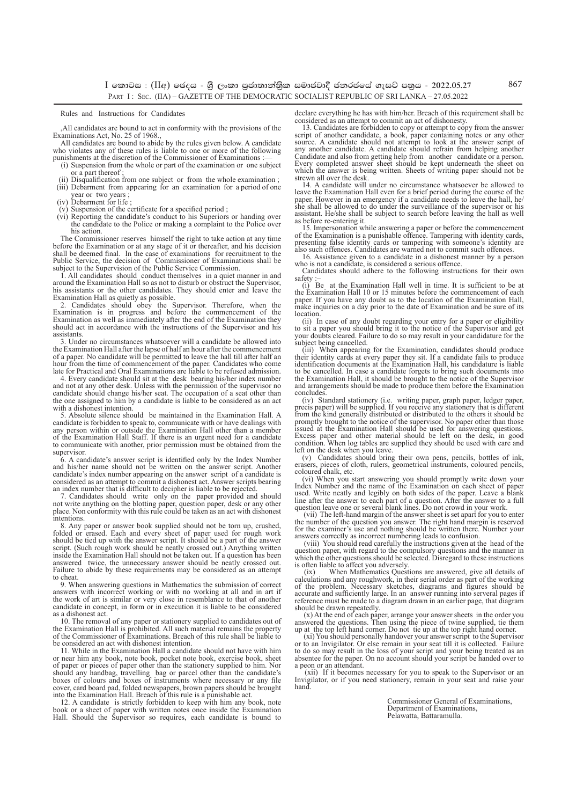$I$  කොටස : (IIඅ) ඡෙදය - ශී ලංකා පුජාතාන්තික සමාජවාදී ජනරජයේ ගැසට් පතුය - 2022.05.27 PART I: SEC. (IIA) – GAZETTE OF THE DEMOCRATIC SOCIALIST REPUBLIC OF SRI LANKA – 27.05.2022

Rules and Instructions for Candidates

,All candidates are bound to act in conformity with the provisions of the Examinations Act, No. 25 of 1968., All candidates are bound to abide by the rules given below. A candidate

who violates any of these rules is liable to one or more of the following punishments at the discretion of the Commissioner of Examinations

- (i) Suspension from the whole or part of the examination or one subject or a part thereof ;
- Disqualification from one subject or from the whole examination ; (iii) Debarment from appearing for an examination for a period of one
- year or two years ;<br>(iv) Debarment for life ;
- 
- (v) Suspension of the certificate for a specified period ; (vi) Reporting the candidate's conduct to his Superiors or handing over the candidate to the Police or making a complaint to the Police over his action.

The Commissioner reserves himself the right to take action at any time before the Examination or at any stage of it or thereafter, and his decision shall be deemed final. In the case of examinations for recruitment to the Public Service, the decision of Commissioner of Examinations shall be subject to the Supervision of the Public Service Commission.

1. All candidates should conduct themselves in a quiet manner in and around the Examination Hall so as not to disturb or obstruct the Supervisor, his assistants or the other candidates. They should enter and leave the

Examination Hall as quietly as possible.<br>2. Candidates should obey the Supervisor. Therefore, when the<br>Examination is in progress and before the commencement of the<br>Examination as well as immediately after the end of the E should act in accordance with the instructions of the Supervisor and his assistants.

3. Under no circumstances whatsoever will a candidate be allowed into the Examination Hall after the lapse of half an hour after the commencement of a paper. No candidate will be permitted to leave the hall till after half an hour from the time of commencement of the paper. Candidates who come late for Practical and Oral Examinations are liable to be refused admission.

4. Every candidate should sit at the desk bearing his/her index number and not at any other desk. Unless with the permission of the supervisor no candidate should change his/her seat. The occupation of a seat other than the one assigned to him by a candidate is liable to be considered as an act with a dishonest intention.

5. Absolute silence should be maintained in the Examination Hall. A candidate is forbidden to speak to, communicate with or have dealings with any person within or outside the Examination Hall other than a member of the Examination Hall Staff. If there is an urgent need for a candidate to communicate with another, prior permission must be obtained from the supervisor.

6. A candidate's answer script is identified only by the Index Number and his/her name should not be written on the answer script. Another candidate's index number appearing on the answer script of a candidate is considered as an attempt to commit a dishonest act. Answer scripts bearing an index number that is difficult to decipher is liable to be rejected.

7. Candidates should write only on the paper provided and should not write anything on the blotting paper, question paper, desk or any other place. Non conformity with this rule could be taken as an act with dishonest intentions.

8. Any paper or answer book supplied should not be torn up, crushed, folded or erased. Each and every sheet of paper used for rough work should be tied up with the answer script. It should be a part of the answer<br>script. (Such rough work should be neatly crossed out.) Anything written<br>inside the Examination Hall should not be taken out. If a question has be answered twice, the unnecessary answer should be neatly crossed out. Failure to abide by these requirements may be considered as an attempt to cheat

9. When answering questions in Mathematics the submission of correct answers with incorrect working or with no working at all and in art if the work of art is similar or very close in resemblance to that of another candidate in concept, in form or in execution it is liable to be considered as a dishonest act.

10. The removal of any paper or stationery supplied to candidates out of the Examination Hall is prohibited. All such material remains the property of the Commissioner of Examinations. Breach of this rule shall be liable to be considered an act with dishonest intention.

11. While in the Examination Hall a candidate should not have with him or near him any book, note book, pocket note book, exercise book, sheet of paper or pieces of paper other than the stationery supplied to him. Nor should any handbag, travelling bag or parcel other than the candidate's boxes of colours and boxes of instruments where necessary or any file cover, card board pad, folded newspapers, brown papers should be brought into the Examination Hall. Breach of this rule is a punishable act.

12. A candidate is strictly forbidden to keep with him any book, note book or a sheet of paper with written notes once inside the Examination Hall. Should the Supervisor so requires, each candidate is bound to declare everything he has with him/her. Breach of this requirement shall be considered as an attempt to commit an act of dishonesty.

13. Candidates are forbidden to copy or attempt to copy from the answer script of another candidate, a book, paper containing notes or any other source. A candidate should not attempt to look at the answer script of any another candidate. A candidate should refrain from helping another Candidate and also from getting help from another candidate or a person. Every completed answer sheet should be kept underneath the sheet on which the answer is being written. Sheets of writing paper should not be

strewn all over the desk. 14. A candidate will under no circumstance whatsoever be allowed to leave the Examination Hall even for a brief period during the course of the paper. However in an emergency if a candidate needs to leave the hall, he/<br>she shall be allowed to do under the surveillance of the supervisor or assistant. He/she shall be subject to search before leaving the hall as well as before re-entering it.

15. Impersonation while answering a paper or before the commencement of the Examination is a punishable offence. Tampering with identity cards, presenting false identity cards or tampering with someone's identity are also such offences. Candidates are warned not to commit such offences.

16. Assistance given to a candidate in a dishonest manner by a person who is not a candidate, is considered a serious offence

Candidates should adhere to the following instructions for their own safety

(i) Be at the Examination Hall well in time. It is sufficient to be at the Examination Hall 10 or 15 minutes before the commencement of each paper. If you have any doubt as to the location of the Examination Hall, make inquiries on a day prior to the date of Examination and be sure of its location.

(ii) In case of any doubt regarding your entry for a paper or eligibility<br>to sit a paper you should bring it to the notice of the Supervisor and get<br>your doubts cleared. Failure to do so may result in your candidature for subject being cancelled.

(iii) When appearing for the Examination, candidates should produce their identity cards at every paper they sit. If a candidate fails to produce identification documents at the Examination Hall, his candidature is liable to be cancelled. In case a candidate forgets to bring such documents into the Examination Hall, it should be brought to the notice of the Supervisor and arrangements should be made to produce them before the Examination concludes.

(iv) Standard stationery (i.e. writing paper, graph paper, ledger paper, precis paper) will be supplied. If you receive any stationery that is different from the kind generally distributed or distributed to the others it should be promptly brought to the notice of the supervisor. No paper other than those issued at the Examination Hall should be used for answering questions. Excess paper and other material should be left on the desk, in good condition. When log tables are supplied they should be used with care and left on the desk when you leave.

(v) Candidates should bring their own pens, pencils, bottles of ink, erasers, pieces of cloth, rulers, geometrical instruments, coloured pencils, coloured chalk, etc.

(vi) When you start answering you should promptly write down your Index Number and the name of the Examination on each sheet of paper used. Write neatly and legibly on both sides of the paper. Leave a blank line after the answer to each part of a question. After the answer to a full question leave one or several blank lines. Do not crowd in your work.

 (vii) The left-hand margin of the answer sheet is set apart for you to enter the number of the question you answer. The right hand margin is reserved for the examiner's use and nothing should be written there. Number your answers correctly as incorrect numbering leads to confusion.

 (viii) You should read carefully the instructions given at the head of the question paper, with regard to the compulsory questions and the manner in which the other questions should be selected. Disregard to these instructions

is often liable to affect you adversely. (ix) When Mathematics Questions are answered, give all details of calculations and any roughwork, in their serial order as part of the working of the problem. Necessary sketches, diagrams and figures should be accurate and sufficiently large. In an answer running into serveral pages if reference must be made to a diagram drawn in an earlier page, that diagram should be drawn repeatedly.

(x) At the end of each paper, arrange your answer sheets in the order you answered the questions. Then using the piece of twine supplied, tie them

up at the top left hand corner. Do not tie up at the top right hand corner.<br>(xi) You should personally handover your answer script to the Supervisor<br>or to an Invigilator. Or else remain in your seat till it is collected. F to do so may result in the loss of your script and your being treated as an absentee for the paper. On no account should your script be handed over to a peon or an attendant.

 (xii) If it becomes necessary for you to speak to the Supervisor or an Invigilator, or if you need stationery, remain in your seat and raise your hand.

> Commissioner General of Examinations, Department of Examinations, Pelawatta, Battaramulla.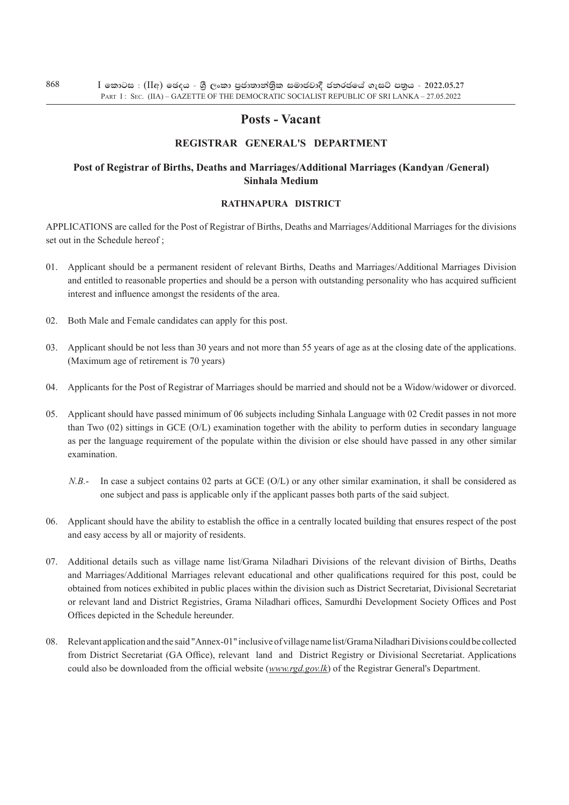# **Posts - Vacant**

# **REgistrar General's Department**

# **Post of Registrar of Births, Deaths and Marriages/Additional Marriages (Kandyan /General) Sinhala Medium**

#### **rathnapura District**

Applications are called for the Post of Registrar of Births, Deaths and Marriages/Additional Marriages for the divisions set out in the Schedule hereof;

- 01. Applicant should be a permanent resident of relevant Births, Deaths and Marriages/Additional Marriages Division and entitled to reasonable properties and should be a person with outstanding personality who has acquired sufficient interest and influence amongst the residents of the area.
- 02. Both Male and Female candidates can apply for this post.
- 03. Applicant should be not less than 30 years and not more than 55 years of age as at the closing date of the applications. (Maximum age of retirement is 70 years)
- 04. Applicants for the Post of Registrar of Marriages should be married and should not be a Widow/widower or divorced.
- 05. Applicant should have passed minimum of 06 subjects including Sinhala Language with 02 Credit passes in not more than Two (02) sittings in GCE (O/L) examination together with the ability to perform duties in secondary language as per the language requirement of the populate within the division or else should have passed in any other similar examination.
	- *N.B.* In case a subject contains 02 parts at GCE (O/L) or any other similar examination, it shall be considered as one subject and pass is applicable only if the applicant passes both parts of the said subject.
- 06. Applicant should have the ability to establish the office in a centrally located building that ensures respect of the post and easy access by all or majority of residents.
- 07. Additional details such as village name list/Grama Niladhari Divisions of the relevant division of Births, Deaths and Marriages/Additional Marriages relevant educational and other qualifications required for this post, could be obtained from notices exhibited in public places within the division such as District Secretariat, Divisional Secretariat or relevant land and District Registries, Grama Niladhari offices, Samurdhi Development Society Offices and Post Offices depicted in the Schedule hereunder.
- 08. Relevant application and the said "Annex-01" inclusive of village name list/Grama Niladhari Divisions could be collected from District Secretariat (GA Office), relevant land and District Registry or Divisional Secretariat. Applications could also be downloaded from the official website (*www.rgd.gov.lk*) of the Registrar General's Department.

868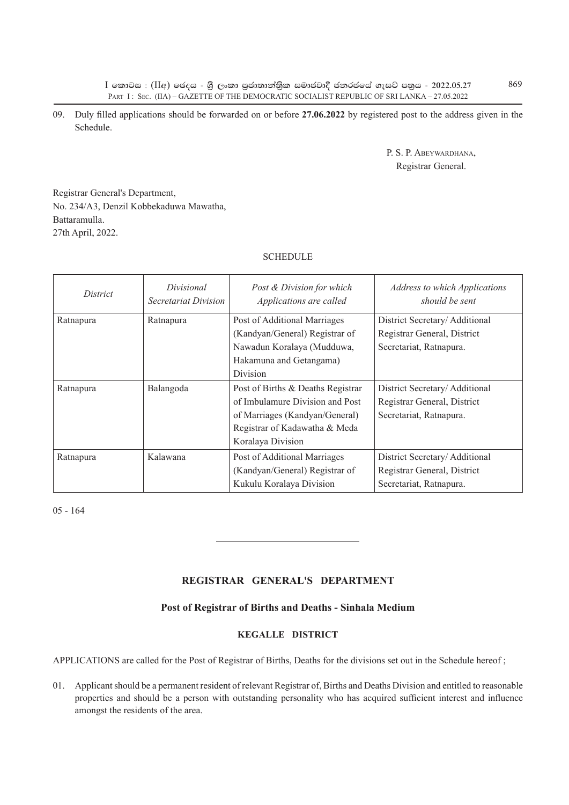$I$  කොටස : (IIඅ) ඡෙදය - ශී ලංකා පුජාතාන්තික සමාජවාදී ජනරජයේ ගැසට් පතුය - 2022.05.27 PART I: SEC. (IIA) – GAZETTE OF THE DEMOCRATIC SOCIALIST REPUBLIC OF SRI LANKA – 27.05.2022

09. Duly filled applications should be forwarded on or before **27.06.2022** by registered post to the address given in the Schedule.

> P. S. P. Abeywardhana, Registrar General.

Registrar General's Department, No. 234/A3, Denzil Kobbekaduwa Mawatha, Battaramulla. 27th April, 2022.

#### **SCHEDULE**

| District  | Divisional<br>Secretariat Division | Post & Division for which<br>Applications are called                                                                                                         | Address to which Applications<br>should be sent                                         |
|-----------|------------------------------------|--------------------------------------------------------------------------------------------------------------------------------------------------------------|-----------------------------------------------------------------------------------------|
| Ratnapura | Ratnapura                          | Post of Additional Marriages<br>(Kandyan/General) Registrar of<br>Nawadun Koralaya (Mudduwa,<br>Hakamuna and Getangama)<br>Division                          | District Secretary/Additional<br>Registrar General, District<br>Secretariat, Ratnapura. |
| Ratnapura | Balangoda                          | Post of Births & Deaths Registrar<br>of Imbulamure Division and Post<br>of Marriages (Kandyan/General)<br>Registrar of Kadawatha & Meda<br>Koralaya Division | District Secretary/Additional<br>Registrar General, District<br>Secretariat, Ratnapura. |
| Ratnapura | Kalawana                           | Post of Additional Marriages<br>(Kandyan/General) Registrar of<br>Kukulu Koralaya Division                                                                   | District Secretary/Additional<br>Registrar General, District<br>Secretariat, Ratnapura. |

05 - 164

# **REgistrar General's Department**

#### **Post of Registrar of Births and Deaths - Sinhala Medium**

# **Kegalle District**

APPLICATIONS are called for the Post of Registrar of Births, Deaths for the divisions set out in the Schedule hereof;

01. Applicant should be a permanent resident of relevant Registrar of, Births and Deaths Division and entitled to reasonable properties and should be a person with outstanding personality who has acquired sufficient interest and influence amongst the residents of the area.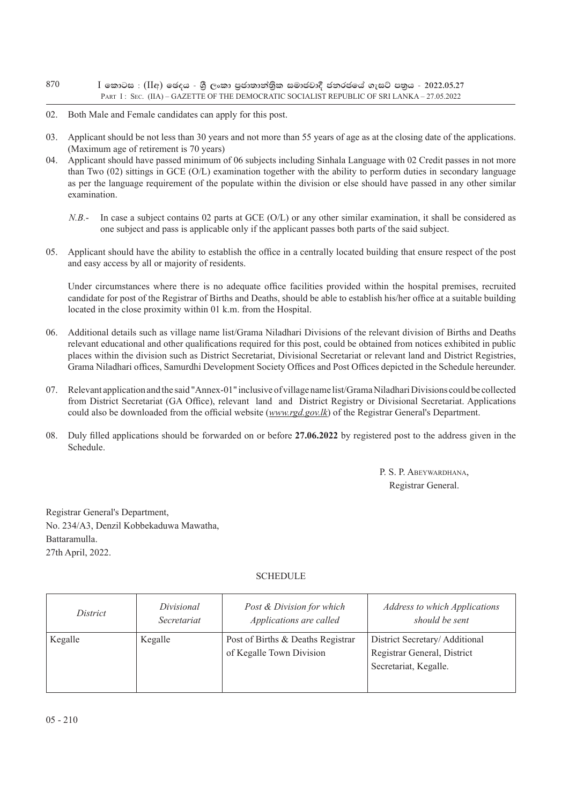- $I$  කොටස : (IIඅ) ඡෙදය ශී ලංකා පුජාතාන්තික සමාජවාදී ජනරජයේ ගැසට් පතුය 2022.05.27 PART I: SEC. (IIA) – GAZETTE OF THE DEMOCRATIC SOCIALIST REPUBLIC OF SRI LANKA – 27.05.2022 870
- 02. Both Male and Female candidates can apply for this post.
- 03. Applicant should be not less than 30 years and not more than 55 years of age as at the closing date of the applications. (Maximum age of retirement is 70 years)
- 04. Applicant should have passed minimum of 06 subjects including Sinhala Language with 02 Credit passes in not more than Two (02) sittings in GCE (O/L) examination together with the ability to perform duties in secondary language as per the language requirement of the populate within the division or else should have passed in any other similar examination.
	- *N.B.* In case a subject contains 02 parts at GCE (O/L) or any other similar examination, it shall be considered as one subject and pass is applicable only if the applicant passes both parts of the said subject.
- 05. Applicant should have the ability to establish the office in a centrally located building that ensure respect of the post and easy access by all or majority of residents.

Under circumstances where there is no adequate office facilities provided within the hospital premises, recruited candidate for post of the Registrar of Births and Deaths, should be able to establish his/her office at a suitable building located in the close proximity within 01 k.m. from the Hospital.

- 06. Additional details such as village name list/Grama Niladhari Divisions of the relevant division of Births and Deaths relevant educational and other qualifications required for this post, could be obtained from notices exhibited in public places within the division such as District Secretariat, Divisional Secretariat or relevant land and District Registries, Grama Niladhari offices, Samurdhi Development Society Offices and Post Offices depicted in the Schedule hereunder.
- 07. Relevant application and the said "Annex-01" inclusive of village name list/Grama Niladhari Divisions could be collected from District Secretariat (GA Office), relevant land and District Registry or Divisional Secretariat. Applications could also be downloaded from the official website (*www.rgd.gov.lk*) of the Registrar General's Department.
- 08. Duly filled applications should be forwarded on or before **27.06.2022** by registered post to the address given in the Schedule.

P. S. P. ABEYWARDHANA, Registrar General.

Registrar General's Department, No. 234/A3, Denzil Kobbekaduwa Mawatha, Battaramulla. 27th April, 2022.

## **SCHEDULE**

| <i>District</i> | Divisional  | Post & Division for which                                     | <b>Address to which Applications</b>                                                   |
|-----------------|-------------|---------------------------------------------------------------|----------------------------------------------------------------------------------------|
|                 | Secretariat | Applications are called                                       | should be sent                                                                         |
| Kegalle         | Kegalle     | Post of Births & Deaths Registrar<br>of Kegalle Town Division | District Secretary/ Additional<br>Registrar General, District<br>Secretariat, Kegalle. |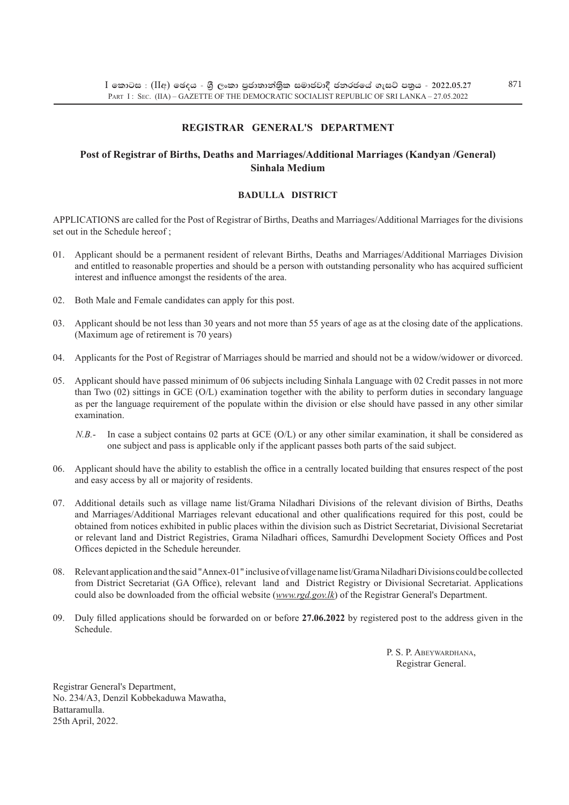# **REgistrar General's Department**

## **Post of Registrar of Births, Deaths and Marriages/Additional Marriages (Kandyan /General) Sinhala Medium**

# **badulla District**

Applications are called for the Post of Registrar of Births, Deaths and Marriages/Additional Marriages for the divisions set out in the Schedule hereof:

- 01. Applicant should be a permanent resident of relevant Births, Deaths and Marriages/Additional Marriages Division and entitled to reasonable properties and should be a person with outstanding personality who has acquired sufficient interest and influence amongst the residents of the area.
- 02. Both Male and Female candidates can apply for this post.
- 03. Applicant should be not less than 30 years and not more than 55 years of age as at the closing date of the applications. (Maximum age of retirement is 70 years)
- 04. Applicants for the Post of Registrar of Marriages should be married and should not be a widow/widower or divorced.
- 05. Applicant should have passed minimum of 06 subjects including Sinhala Language with 02 Credit passes in not more than Two (02) sittings in GCE (O/L) examination together with the ability to perform duties in secondary language as per the language requirement of the populate within the division or else should have passed in any other similar examination.
	- *N.B.* In case a subject contains 02 parts at GCE (O/L) or any other similar examination, it shall be considered as one subject and pass is applicable only if the applicant passes both parts of the said subject.
- 06. Applicant should have the ability to establish the office in a centrally located building that ensures respect of the post and easy access by all or majority of residents.
- 07. Additional details such as village name list/Grama Niladhari Divisions of the relevant division of Births, Deaths and Marriages/Additional Marriages relevant educational and other qualifications required for this post, could be obtained from notices exhibited in public places within the division such as District Secretariat, Divisional Secretariat or relevant land and District Registries, Grama Niladhari offices, Samurdhi Development Society Offices and Post Offices depicted in the Schedule hereunder.
- 08. Relevant application and the said "Annex-01" inclusive of village name list/Grama Niladhari Divisions could be collected from District Secretariat (GA Office), relevant land and District Registry or Divisional Secretariat. Applications could also be downloaded from the official website (*www.rgd.gov.lk*) of the Registrar General's Department.
- 09. Duly filled applications should be forwarded on or before **27.06.2022** by registered post to the address given in the Schedule.

P. S. P. ABEYWARDHANA, Registrar General.

Registrar General's Department, No. 234/A3, Denzil Kobbekaduwa Mawatha, Battaramulla. 25th April, 2022.